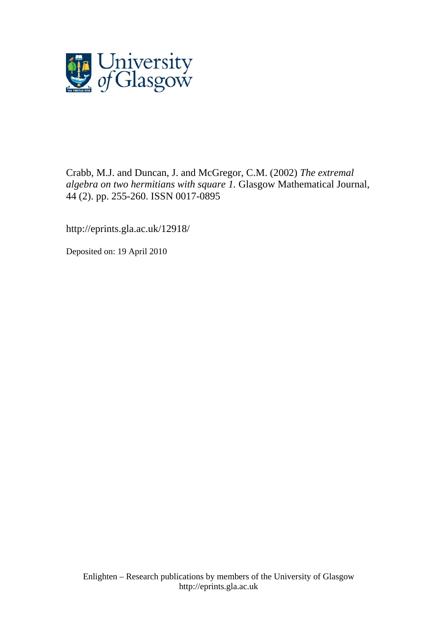

# Crabb, M.J. and Duncan, J. and McGregor, C.M. (2002) *The extremal algebra on two hermitians with square 1.* Glasgow Mathematical Journal, 44 (2). pp. 255-260. ISSN 0017-0895

http://eprints.gla.ac.uk/12918/

Deposited on: 19 April 2010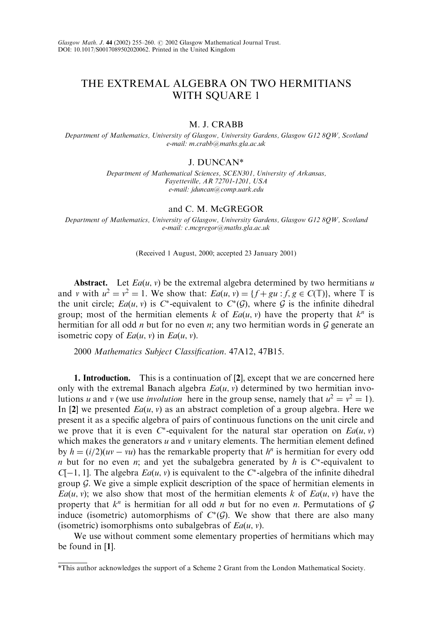# THE EXTREMAL ALGEBRA ON TWO HERMITIANS WITH SOUARE 1

## M. J. CRABB

Department of Mathematics, University of Glasgow, University Gardens, Glasgow G12 8QW, Scotland e-mail:m.crabb@maths.gla.ac.uk

# J. DUNCAN\*

Department of Mathematical Sciences, SCEN301, University of Arkansas, Fayetteville, AR 72701-1201, USA e-mail: jduncan@comp.uark.edu

## and C. M. McGREGOR

Department of Mathematics, University of Glasgow, University Gardens, Glasgow G12 8QW, Scotland e-mail: c.mcgregor@maths.gla.ac.uk

(Received 1 August, 2000; accepted 23 January 2001)

Abstract. Let  $Ea(u, v)$  be the extremal algebra determined by two hermitians u and v with  $u^2 = v^2 = 1$ . We show that:  $Ea(u, v) = {f + gu : f, g \in C(\mathbb{T})}$ , where  $\mathbb{T}$  is the unit circle;  $Ea(u, v)$  is C\*-equivalent to  $C^*(\mathcal{G})$ , where  $\mathcal G$  is the infinite dihedral group; most of the hermitian elements k of  $Ea(u, v)$  have the property that  $k^n$  is hermitian for all odd *n* but for no even *n*; any two hermitian words in  $G$  generate an isometric copy of  $Ea(u, v)$  in  $Ea(u, v)$ .

2000 Mathematics Subject Classification. 47A12, 47B15.

1. Introduction. This is a continuation of [2], except that we are concerned here only with the extremal Banach algebra  $Ea(u, v)$  determined by two hermitian involutions u and v (we use *involution* here in the group sense, namely that  $u^2 = v^2 = 1$ ). In [2] we presented  $Ea(u, v)$  as an abstract completion of a group algebra. Here we present it as a specific algebra of pairs of continuous functions on the unit circle and we prove that it is even  $C^*$ -equivalent for the natural star operation on  $Ea(u, v)$ which makes the generators  $u$  and  $v$  unitary elements. The hermitian element defined by  $h = (i/2)(uv - vu)$  has the remarkable property that  $h^n$  is hermitian for every odd n but for no even n; and yet the subalgebra generated by h is  $C^*$ -equivalent to  $C[-1, 1]$ . The algebra  $Ea(u, v)$  is equivalent to the  $C^*$ -algebra of the infinite dihedral group  $G$ . We give a simple explicit description of the space of hermitian elements in  $Ea(u, v)$ ; we also show that most of the hermitian elements k of  $Ea(u, v)$  have the property that  $k^n$  is hermitian for all odd *n* but for no even *n*. Permutations of G induce (isometric) automorphisms of  $C^*(\mathcal{G})$ . We show that there are also many (isometric) isomorphisms onto subalgebras of  $Ea(u, v)$ .

We use without comment some elementary properties of hermitians which may be found in [1].

<sup>\*</sup>This author acknowledges the support of a Scheme 2 Grant from the London Mathematical Society.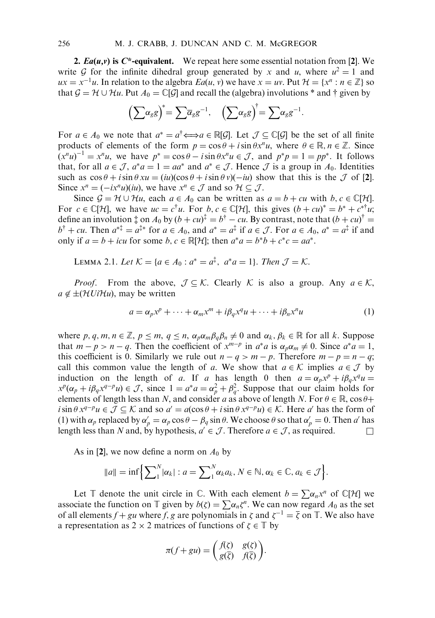2.  $Ea(u, v)$  is  $C^*$ -equivalent. We repeat here some essential notation from [2]. We write G for the infinite dihedral group generated by x and u, where  $u^2 = 1$  and  $ux = x^{-1}u$ . In relation to the algebra  $Ea(u, v)$  we have  $x = uv$ . Put  $\mathcal{H} = \{x^n : n \in \mathbb{Z}\}\$  so that  $\mathcal{G} = \mathcal{H} \cup \mathcal{H}u$ . Put  $A_0 = \mathbb{C}[\mathcal{G}]$  and recall the (algebra) involutions \* and † given by

$$
\left(\sum \alpha_g g\right)^* = \sum \overline{\alpha}_g g^{-1}, \quad \left(\sum \alpha_g g\right)^{\dagger} = \sum \alpha_g g^{-1}.
$$

For  $a \in A_0$  we note that  $a^* = a^{\dagger} \Longleftrightarrow a \in \mathbb{R}[G]$ . Let  $\mathcal{J} \subset \mathbb{C}[G]$  be the set of all finite products of elements of the form  $p = \cos \theta + i \sin \theta x^n u$ , where  $\theta \in \mathbb{R}, n \in \mathbb{Z}$ . Since  $(x^n u)^{-1} = x^n u$ , we have  $p^* = \cos \theta - i \sin \theta x^n u \in \mathcal{J}$ , and  $p^* p = 1 = pp^*$ . It follows that, for all  $a \in \mathcal{J}$ ,  $a^*a = 1 = aa^*$  and  $a^* \in \mathcal{J}$ . Hence  $\mathcal{J}$  is a group in  $A_0$ . Identities such as  $\cos \theta + i \sin \theta x u = (i\omega)(\cos \theta + i \sin \theta v)(-i\omega)$  show that this is the  $\mathcal J$  of [2]. Since  $x^n = (-ix^n u)(iu)$ , we have  $x^n \in \mathcal{J}$  and so  $\mathcal{H} \subseteq \mathcal{J}$ .

Since  $\mathcal{G} = \mathcal{H} \cup \mathcal{H}u$ , each  $a \in A_0$  can be written as  $a = b + cu$  with  $b, c \in \mathbb{C}[\mathcal{H}]$ . For  $c \in \mathbb{C}[\mathcal{H}]$ , we have  $uc = c^{\dagger}u$ . For  $b, c \in \mathbb{C}[\mathcal{H}]$ , this gives  $(b + cu)^* = b^* + c^{*\dagger}u$ ; define an involution  $\ddagger$  on  $A_0$  by  $(b+cu)^{\ddagger} = b^{\dagger} - cu$ . By contrast, note that  $(b+cu)^{\dagger} =$  $b^{\dagger} + cu$ . Then  $a^{*\dagger} = a^{\dagger*}$  for  $a \in A_0$ , and  $a^* = a^{\dagger}$  if  $a \in \mathcal{J}$ . For  $a \in A_0$ ,  $a^* = a^{\dagger}$  if and only if  $a = b + icu$  for some b,  $c \in \mathbb{R}[\mathcal{H}]$ ; then  $a^*a = b^*b + c^*c = aa^*$ .

LEMMA 2.1. Let 
$$
K = \{a \in A_0 : a^* = a^{\ddagger}, a^*a = 1\}
$$
. Then  $\mathcal{J} = K$ .

*Proof.* From the above,  $\mathcal{J} \subseteq \mathcal{K}$ . Clearly  $\mathcal{K}$  is also a group. Any  $a \in \mathcal{K}$ ,  $a \notin \pm(\mathcal{H}U\mathcal{H}u)$ , may be written

$$
a = \alpha_p x^p + \dots + \alpha_m x^m + i\beta_q x^q u + \dots + i\beta_n x^n u \tag{1}
$$

where p, q, m,  $n \in \mathbb{Z}$ ,  $p \le m$ ,  $q \le n$ ,  $\alpha_p \alpha_m \beta_q \beta_n \ne 0$  and  $\alpha_k$ ,  $\beta_k \in \mathbb{R}$  for all k. Suppose that  $m - p > n - q$ . Then the coefficient of  $x^{m-p}$  in  $a^*a$  is  $\alpha_p \alpha_m \neq 0$ . Since  $a^*a = 1$ , this coefficient is 0. Similarly we rule out  $n - q > m - p$ . Therefore  $m - p = n - q$ ; call this common value the length of a. We show that  $a \in \mathcal{K}$  implies  $a \in \mathcal{J}$  by induction on the length of a. If a has length 0 then  $a = \alpha_p x^p + i\beta_q x^q u =$  $x^p(\alpha_p + i\beta_q x^{q-p}u) \in \mathcal{J}$ , since  $1 = a^*a = \alpha_p^2 + \beta_q^2$ . Suppose that our claim holds for elements of length less than N, and consider a as above of length N. For  $\theta \in \mathbb{R}$ , cos  $\theta$ +  $i\sin\theta x^{q-p}u \in \mathcal{J} \subseteq \mathcal{K}$  and so  $a' = a(\cos\theta + i\sin\theta x^{q-p}u) \in \mathcal{K}$ . Here a' has the form of (1) with  $\alpha_p$  replaced by  $\alpha'_p = \alpha_p \cos \theta - \beta_q \sin \theta$ . We choose  $\theta$  so that  $\alpha'_p = 0$ . Then a' has length less than N and, by hypothesis,  $a' \in \mathcal{J}$ . Therefore  $a \in \mathcal{J}$ , as required.

As in [2], we now define a norm on  $A_0$  by

$$
||a|| = \inf \left\{ \sum_{1}^{N} |\alpha_k| : a = \sum_{1}^{N} \alpha_k a_k, N \in \mathbb{N}, \alpha_k \in \mathbb{C}, a_k \in \mathcal{J} \right\}.
$$

Let  $\mathbb T$  denote the unit circle in  $\mathbb C$ . With each element  $b = \sum \alpha_n x^n$  of  $\mathbb C[H]$  we associate the function on  $\mathbb T$  given by  $b(\zeta) = \sum \alpha_n \zeta^n$ . We can now regard  $A_0$  as the set of all elements  $f + gu$  where f, g are polynomials in  $\zeta$  and  $\zeta^{-1} = \overline{\zeta}$  on  $\mathbb{T}$ . We also have a representation as  $2 \times 2$  matrices of functions of  $\zeta \in \mathbb{T}$  by

$$
\pi(f+gu) = \begin{pmatrix} f(\zeta) & g(\zeta) \\ g(\overline{\zeta}) & f(\overline{\zeta}) \end{pmatrix}.
$$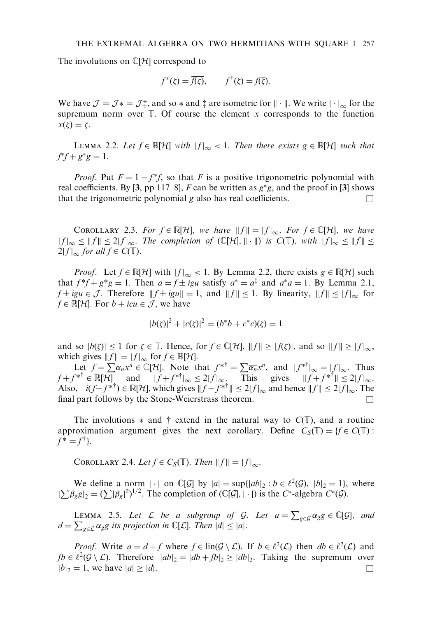The involutions on  $\mathbb{C}[H]$  correspond to

$$
f^*(\zeta) = \overline{f(\zeta)}, \qquad f^{\dagger}(\zeta) = f(\overline{\zeta}).
$$

We have  $\mathcal{J} = \mathcal{J} \dot{\ast} = \mathcal{J} \dot{\ast}$ , and so  $\dot{\ast}$  and  $\dot{\ast}$  are isometric for  $\|\cdot\|$ . We write  $|\cdot|_{\infty}$  for the supremum norm over  $\mathbb T$ . Of course the element x corresponds to the function  $x(\zeta)=\zeta.$ 

LEMMA 2.2. Let  $f \in \mathbb{R}[\mathcal{H}]$  with  $|f|_{\infty} < 1$ . Then there exists  $g \in \mathbb{R}[\mathcal{H}]$  such that  $f^*f + g^*g = 1.$ 

*Proof.* Put  $F = 1 - f^*f$ , so that F is a positive trigonometric polynomial with real coefficients. By [3, pp 117–8], F can be written as  $g^*g$ , and the proof in [3] shows that the trigonometric polynomial g also has real coefficients.  $\Box$ 

COROLLARY 2.3. For  $f \in \mathbb{R}[\mathcal{H}]$ , we have  $||f|| = |f|_{\infty}$ . For  $f \in \mathbb{C}[\mathcal{H}]$ , we have  $|f|_{\infty} \leq ||f|| \leq 2|f|_{\infty}$ . The completion of  $(\mathbb{C}[H], || \cdot ||)$  is  $C(\mathbb{T})$ , with  $||f||_{\infty} \leq ||f|| \leq$  $2|f|_{\infty}$  for all  $f \in C(\mathbb{T})$ .

*Proof.* Let  $f \in \mathbb{R}[\mathcal{H}]$  with  $|f|_{\infty} < 1$ . By Lemma 2.2, there exists  $g \in \mathbb{R}[\mathcal{H}]$  such that  $f^*f + g^*g = 1$ . Then  $a = f \pm igu$  satisfy  $a^* = a^{\frac{1}{4}}$  and  $a^*a = 1$ . By Lemma 2.1,  $f \pm igu \in \mathcal{J}$ . Therefore  $|| f \pm igu|| = 1$ , and  $|| f || \leq 1$ . By linearity,  $|| f || \leq |f|_{\infty}$  for  $f \in \mathbb{R}[\mathcal{H}]$ . For  $b + icu \in \mathcal{J}$ , we have

$$
|b(\zeta)|^2 + |c(\zeta)|^2 = (b^*b + c^*c)(\zeta) = 1
$$

and so  $|b(\zeta)| \leq 1$  for  $\zeta \in \mathbb{T}$ . Hence, for  $f \in \mathbb{C}[\mathcal{H}]$ ,  $||f|| \geq |f(\zeta)|$ , and so  $||f|| \geq |f|_{\infty}$ , which gives  $||f|| = |f|_{\infty}$  for  $f \in \mathbb{R}[\mathcal{H}].$ 

Let  $f = \sum_{n=1}^{\infty} \alpha_n x^n \in \mathbb{C}[\mathcal{H}]$ . Note that  $f^{* \dagger} = \sum_{n=1}^{\infty} \overline{\alpha_n} x^n$ , and  $|f^{* \dagger}|_{\infty} = |f|_{\infty}$ . Thus  $f + f^{* \dagger} \in \mathbb{R}[\mathcal{H}]$  and  $|f + f^{* \dagger}|_{\infty} \leq 2|f|_{\infty}$ . This gives  $||f + f^{* \dagger}|| \leq 2|f|_{\infty}$ . Also,  $i(f - f^{*^{\dagger}}) \in \mathbb{R}[\mathcal{H}]$ , which gives  $||f - f^{*^{\dagger}}|| \leq 2|f|_{\infty}$  and hence  $||f|| \leq 2|f|_{\infty}$ . The final part follows by the Stone-Weierstrass theorem.  $\Box$ 

The involutions  $*$  and  $\dagger$  extend in the natural way to  $C(\mathbb{T})$ , and a routine approximation argument gives the next corollary. Define  $C_S(\mathbb{T}) = \{f \in C(\mathbb{T}) :$  $f^* = f^{\dagger}$ .

COROLLARY 2.4. Let  $f \in C_S(\mathbb{T})$ . Then  $||f|| = |f|_{\infty}$ .

We define a norm  $|\cdot|$  on  $\mathbb{C}[\mathcal{G}]$  by  $|a| = \sup\{|ab|_2 : b \in \ell^2(\mathcal{G})$ ,  $|b|_2 = 1\}$ , where  $|\sum \beta_g g|_2 = (\sum |\beta_g|^2)^{1/2}$ . The completion of  $(\mathbb{C}[G], |\cdot|)$  is the C\*-algebra  $C^*(\mathcal{G})$ .

LEMMA 2.5. Let  $\mathcal L$  be a subgroup of  $\mathcal G$ . Let  $a = \sum_{g \in \mathcal G} \alpha_g g \in \mathbb C[\mathcal G]$ , and  $d = \sum_{g \in \mathcal{L}} \alpha_g g$  its projection in C[L]. Then  $|d| \leq |a|$ .

*Proof.* Write  $a = d + f$  where  $f \in \text{lin}(\mathcal{G} \setminus \mathcal{L})$ . If  $b \in \ell^2(\mathcal{L})$  then  $db \in \ell^2(\mathcal{L})$  and  $fb \in \ell^2(G \setminus \mathcal{L})$ . Therefore  $|ab|_2 = |db + fb|_2 \ge |db|_2$ . Taking the supremum over  $|b|_2 = 1$ , we have  $|a| \ge |d|$ .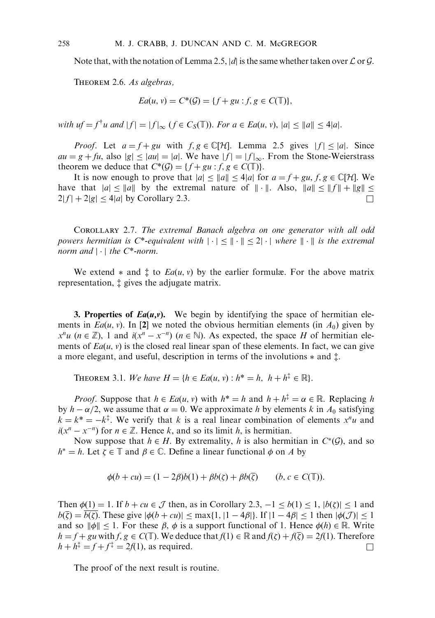Note that, with the notation of Lemma 2.5, |d| is the same whether taken over  $\mathcal L$  or  $\mathcal G$ .

Theorem 2.6. As algebras,

$$
Ea(u, v) = C^*(\mathcal{G}) = \{ f + gu : f, g \in C(\mathbb{T}) \},
$$

with  $uf = f^{\dagger}u$  and  $|f| = |f|_{\infty}$   $(f \in C_S(\mathbb{T}))$ . For  $a \in Ea(u, v), |a| \leq ||a|| \leq 4|a|$ .

*Proof.* Let  $a = f + gu$  with  $f, g \in \mathbb{C}[\mathcal{H}]$ . Lemma 2.5 gives  $|f| < |a|$ . Since  $au = g + fu$ , also  $|g| \le |au| = |a|$ . We have  $|f| = |f|_{\infty}$ . From the Stone-Weierstrass theorem we deduce that  $C^*(\mathcal{G}) = \{f + gu : f, g \in C(\mathbb{T})\}.$ 

It is now enough to prove that  $|a| \le ||a|| \le 4|a|$  for  $a = f + gu, f, g \in \mathbb{C}[H]$ . We have that  $|a| \le ||a||$  by the extremal nature of  $||\cdot||$ . Also,  $||a|| \le ||f|| + ||g|| \le$  $2|f| + 2|g| < 4|a|$  by Corollary 2.3.

Corollary 2.7. The extremal Banach algebra on one generator with all odd powers hermitian is  $C^*$ -equivalent with  $|\cdot| < \mathbb{N} \cdot \mathbb{N} < 2$ . where  $\mathbb{N} \cdot \mathbb{N}$  is the extremal norm and  $|\cdot|$  the C\*-norm.

We extend  $*$  and  $\ddagger$  to  $Ea(u, v)$  by the earlier formulæ. For the above matrix representation,  $\ddagger$  gives the adjugate matrix.

**3. Properties of**  $Ea(u,v)$ **.** We begin by identifying the space of hermitian elements in  $Ea(u, v)$ . In [2] we noted the obvious hermitian elements (in  $A_0$ ) given by  $x^n u$  ( $n \in \mathbb{Z}$ ), 1 and  $i(x^n - x^{-n})$  ( $n \in \mathbb{N}$ ). As expected, the space H of hermitian elements of  $Ea(u, v)$  is the closed real linear span of these elements. In fact, we can give a more elegant, and useful, description in terms of the involutions  $*$  and  $\ddagger$ .

THEOREM 3.1. We have  $H = \{h \in Ea(u, v) : h^* = h, h + h^{\ddagger} \in \mathbb{R}\}.$ 

*Proof.* Suppose that  $h \in Ea(u, v)$  with  $h^* = h$  and  $h + h^* = \alpha \in \mathbb{R}$ . Replacing h by  $h - \alpha/2$ , we assume that  $\alpha = 0$ . We approximate h by elements k in  $A_0$  satisfying  $k = k^* = -k^{\dagger}$ . We verify that k is a real linear combination of elements  $x^n u$  and  $i(x^n - x^{-n})$  for  $n \in \mathbb{Z}$ . Hence k, and so its limit h, is hermitian.

Now suppose that  $h \in H$ . By extremality, h is also hermitian in  $C^*(\mathcal{G})$ , and so  $h^* = h$ . Let  $\zeta \in \mathbb{T}$  and  $\beta \in \mathbb{C}$ . Define a linear functional  $\phi$  on A by

$$
\phi(b+cu) = (1-2\beta)b(1) + \beta b(\zeta) + \beta b(\overline{\zeta}) \qquad (b, c \in C(\mathbb{T})).
$$

Then  $\phi(1) = 1$ . If  $b + cu \in \mathcal{J}$  then, as in Corollary 2.3,  $-1 \leq b(1) \leq 1$ ,  $|b(\zeta)| \leq 1$  and  $b(\bar{\zeta}) = b(\zeta)$ . These give  $|\phi(b + cu)| \leq \max\{1, |1 - 4\beta|\}$ . If  $|1 - 4\beta| \leq 1$  then  $|\phi(\mathcal{J})| \leq 1$ and so  $\|\phi\| \leq 1$ . For these  $\beta$ ,  $\phi$  is a support functional of 1. Hence  $\phi(h) \in \mathbb{R}$ . Write  $h = f + gu$  with  $f, g \in C(\mathbb{T})$ . We deduce that  $f(1) \in \mathbb{R}$  and  $f(\zeta) + f(\overline{\zeta}) = 2f(1)$ . Therefore  $h + h^{\dagger} = f + f^{\dagger} = 2f(1)$ , as required.

The proof of the next result is routine.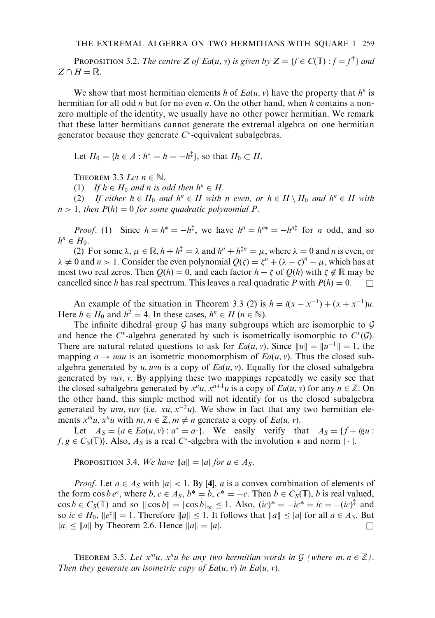**PROPOSITION 3.2.** The centre Z of Ea $(u, v)$  is given by  $Z = \{f \in C(\mathbb{T}) : f = f^{\dagger}\}\$ and  $Z \cap H = \mathbb{R}$ .

We show that most hermitian elements h of  $Ea(u, v)$  have the property that  $h^n$  is hermitian for all odd *n* but for no even *n*. On the other hand, when h contains a nonzero multiple of the identity, we usually have no other power hermitian. We remark that these latter hermitians cannot generate the extremal algebra on one hermitian generator because they generate  $C^*$ -equivalent subalgebras.

Let  $H_0 = \{ h \in A : h^* = h = -h^{\ddagger} \}$ , so that  $H_0 \subset H$ .

THEOREM 3.3 Let  $n \in \mathbb{N}$ .

(1) If  $h \in H_0$  and n is odd then  $h^n \in H$ .

(2) If either  $h \in H_0$  and  $h^n \in H$  with n even, or  $h \in H \setminus H_0$  and  $h^n \in H$  with  $n > 1$ , then  $P(h) = 0$  for some quadratic polynomial P.

*Proof.* (1) Since  $h = h^* = -h^{\dagger}$ , we have  $h^n = h^{n*} = -h^{n\dagger}$  for *n* odd, and so  $h^n \in H_0$ .

(2) For some  $\lambda, \mu \in \mathbb{R}, h + h^{\dagger} = \lambda$  and  $h^n + h^{\dagger n} = \mu$ , where  $\lambda = 0$  and *n* is even, or  $\lambda \neq 0$  and  $n > 1$ . Consider the even polynomial  $Q(\zeta) = \zeta^n + (\lambda - \zeta)^n - \mu$ , which has at most two real zeros. Then  $Q(h) = 0$ , and each factor  $h - \zeta$  of  $Q(h)$  with  $\zeta \notin \mathbb{R}$  may be cancelled since h has real spectrum. This leaves a real quadratic P with  $P(h) = 0$ .

An example of the situation in Theorem 3.3 (2) is  $h = i(x - x^{-1}) + (x + x^{-1})u$ . Here  $h \in H_0$  and  $h^2 = 4$ . In these cases,  $h^n \in H$   $(n \in \mathbb{N})$ .

The infinite dihedral group  $G$  has many subgroups which are isomorphic to  $G$ and hence the  $C^*$ -algebra generated by such is isometrically isomorphic to  $C^*(\mathcal{G})$ . There are natural related questions to ask for  $Ea(u, v)$ . Since  $||u|| = ||u^{-1}|| = 1$ , the mapping  $a \rightarrow uau$  is an isometric monomorphism of  $Ea(u, v)$ . Thus the closed subalgebra generated by u, uvu is a copy of  $Ea(u, v)$ . Equally for the closed subalgebra generated by vuv; v. By applying these two mappings repeatedly we easily see that the closed subalgebra generated by  $x^n u$ ,  $x^{n+1} u$  is a copy of  $Ea(u, v)$  for any  $n \in \mathbb{Z}$ . On the other hand, this simple method will not identify for us the closed subalgebra generated by uvu, vuv (i.e.  $xu$ ,  $x^{-2}u$ ). We show in fact that any two hermitian elements  $x^m u$ ,  $x^n u$  with  $m, n \in \mathbb{Z}$ ,  $m \neq n$  generate a copy of  $Ea(u, v)$ .

Let  $A_S = \{a \in Ea(u, v) : a^* = a^{\ddagger}\}\$ . We easily verify that  $A_S = \{f + igu :$  $f, g \in C_S(\mathbb{T})$ . Also,  $A_S$  is a real C<sup>\*</sup>-algebra with the involution  $*$  and norm  $|\cdot|$ .

PROPOSITION 3.4. We have  $||a|| = |a|$  for  $a \in A_S$ .

*Proof.* Let  $a \in A_S$  with  $|a| < 1$ . By [4], a is a convex combination of elements of the form  $\cos b e^c$ , where  $b, c \in A_S$ ,  $b^* = b, c^* = -c$ . Then  $b \in C_S(\mathbb{T})$ , b is real valued,  $\cos b \in C_S(\mathbb{T})$  and so  $\|\cos b\| = |\cos b|_{\infty} \le 1$ . Also,  $(ic)^* = -ic^* = ic = -(ic)^{\frac{1}{4}}$  and so  $ic \in H_0$ ,  $||e^c|| = 1$ . Therefore  $||a|| \le 1$ . It follows that  $||a|| \le |a|$  for all  $a \in A_S$ . But  $|a| \le ||a||$  by Theorem 2.6. Hence  $||a|| = |a|$ .

THEOREM 3.5. Let  $x^m u$ ,  $x^n u$  be any two hermitian words in  $\mathcal G$  (where  $m, n \in \mathbb Z$ ). Then they generate an isometric copy of  $Ea(u, v)$  in  $Ea(u, v)$ .